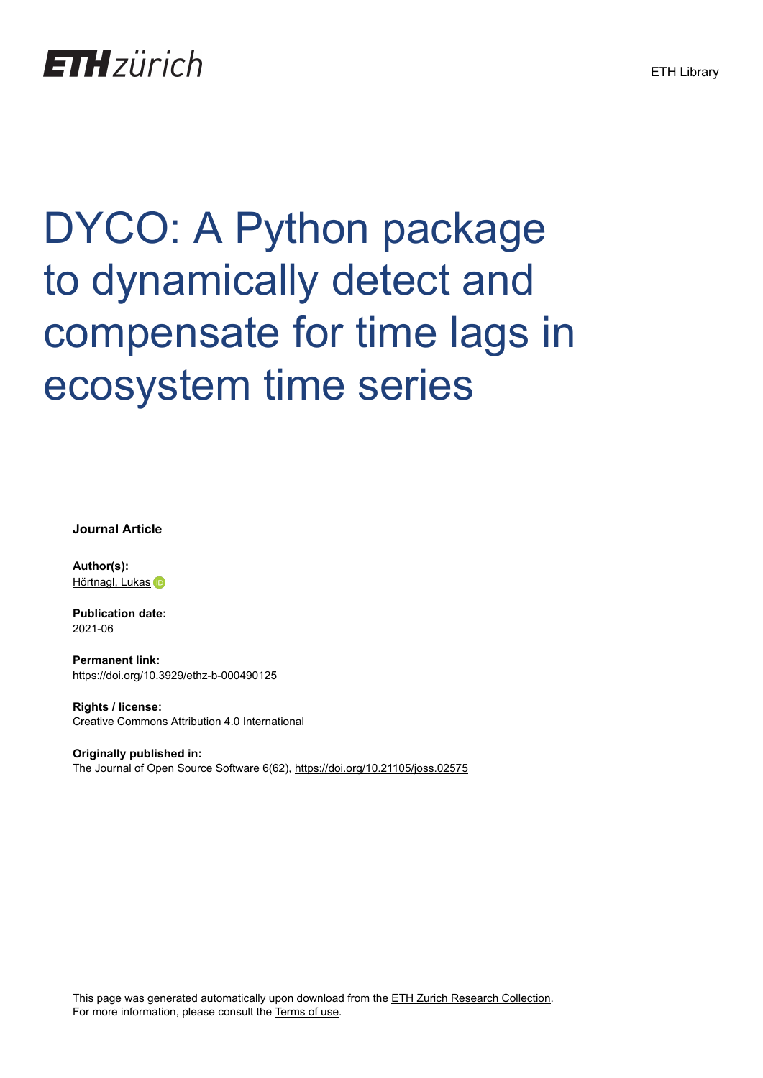## **ETH** zürich

# DYCO: A Python package to dynamically detect and compensate for time lags in ecosystem time series

**Journal Article**

**Author(s):** [Hörtnagl, Lukas](https://orcid.org/0000-0002-5569-0761) iD

**Publication date:** 2021-06

**Permanent link:** <https://doi.org/10.3929/ethz-b-000490125>

**Rights / license:** [Creative Commons Attribution 4.0 International](http://creativecommons.org/licenses/by/4.0/)

**Originally published in:** The Journal of Open Source Software 6(62),<https://doi.org/10.21105/joss.02575>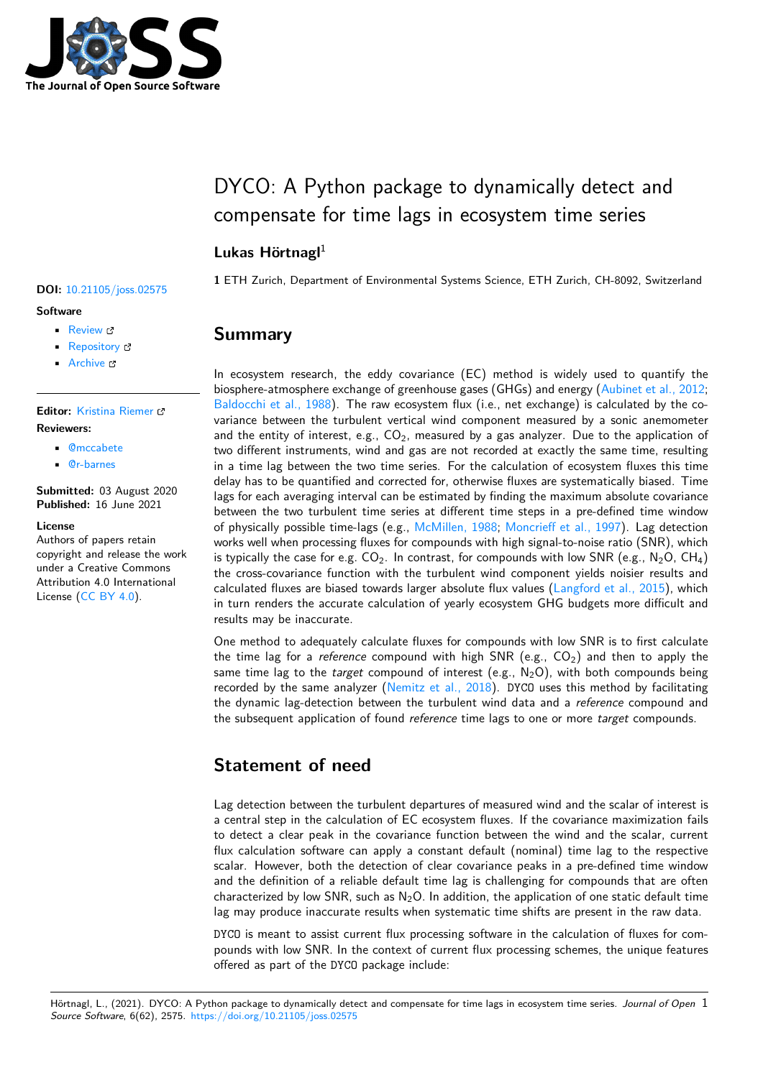

## DYCO: A Python package to dynamically detect and compensate for time lags in ecosystem time series

### **Lukas Hörtnagl**<sup>1</sup>

**1** ETH Zurich, Department of Environmental Systems Science, ETH Zurich, CH-8092, Switzerland

## **Summary**

In ecosystem research, the eddy covariance (EC) method is widely used to quantify the biosphere-atmosphere exchange of greenhouse gases (GHGs) and energy [\(Aubinet et al., 2012;](#page-4-0) [Baldocchi et al., 1988](#page-5-0)). The raw ecosystem flux (i.e., net exchange) is calculated by the covariance between the turbulent vertical wind component measured by a sonic anemometer and the entity of interest, e.g.,  $CO<sub>2</sub>$ , measured by a gas analyzer. Due to the application of two different instruments, wind and gas are not recorded at exactly the same time, resulting in a time lag between the two time series. For the calculation of ecosystem fluxes this time delay has to be quantified and corrected for, otherwise fluxes are systematically biased. Time lags for each averaging interval can be estimated by finding the maximum absolute covariance between the two turbulent time series at different time steps in a pre-defined time window of physically possible time-lags (e.g., [McMillen, 1988](#page-5-1); [Moncrieff et al., 1997\)](#page-5-2). Lag detection works well when processing fluxes for compounds with high signal-to-noise ratio (SNR), which is typically the case for e.g.  $CO<sub>2</sub>$ . In contrast, for compounds with low SNR (e.g., N<sub>2</sub>O, CH<sub>4</sub>) the cross-covariance function with the turbulent wind component yields noisier results and calculated fluxes are biased towards larger absolute flux values ([Langford et al., 2015\)](#page-5-3), which in turn renders the accurate calculation of yearly ecosystem GHG budgets more difficult and results may be inaccurate.

One method to adequately calculate fluxes for compounds with low SNR is to first calculate the time lag for a *reference* compound with high SNR (e.g.,  $CO<sub>2</sub>$ ) and then to apply the same time lag to the *target* compound of interest (e.g., N<sub>2</sub>O), with both compounds being recorded by the same analyzer ([Nemitz et al., 2018\)](#page-5-4). DYCO uses this method by facilitating the dynamic lag-detection between the turbulent wind data and a *reference* compound and the subsequent application of found *reference* time lags to one or more *target* compounds.

## **Statement of need**

Lag detection between the turbulent departures of measured wind and the scalar of interest is a central step in the calculation of EC ecosystem fluxes. If the covariance maximization fails to detect a clear peak in the covariance function between the wind and the scalar, current flux calculation software can apply a constant default (nominal) time lag to the respective scalar. However, both the detection of clear covariance peaks in a pre-defined time window and the definition of a reliable default time lag is challenging for compounds that are often characterized by low SNR, such as  $N_2O$ . In addition, the application of one static default time lag may produce inaccurate results when systematic time shifts are present in the raw data.

DYCO is meant to assist current flux processing software in the calculation of fluxes for compounds with low SNR. In the context of current flux processing schemes, the unique features offered as part of the DYCO package include:

#### **DOI:** [10.21105/joss.02575](https://doi.org/10.21105/joss.02575)

#### **Software**

- [Review](https://github.com/openjournals/joss-reviews/issues/2575) &
- [Repository](https://github.com/holukas/dyco) &
- [Archive](https://doi.org/10.5281/zenodo.4964068) C

#### **Editor:** [Kristina Riemer](https://twitter.com/KristinaRiemer) **Reviewers:**

- - [@mccabete](https://github.com/mccabete)
	- [@r-barnes](https://github.com/r-barnes)

**Submitted:** 03 August 2020 **Published:** 16 June 2021

#### **License**

Authors of papers retain copyright and release the work under a Creative Commons Attribution 4.0 International License ([CC BY 4.0\)](http://creativecommons.org/licenses/by/4.0/).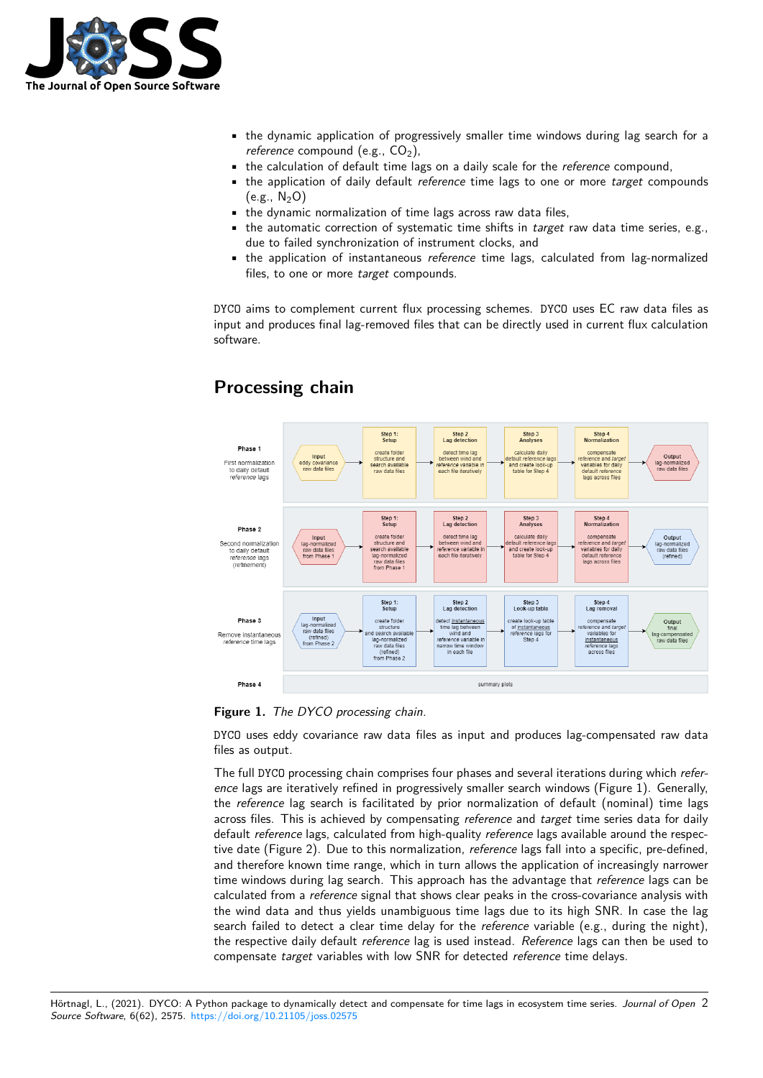

- the dynamic application of progressively smaller time windows during lag search for a *reference* compound (e.g., CO<sub>2</sub>).
- the calculation of default time lags on a daily scale for the *reference* compound,
- the application of daily default *reference* time lags to one or more *target* compounds  $(e.g., N<sub>2</sub>O)$
- the dynamic normalization of time lags across raw data files,
- the automatic correction of systematic time shifts in *target* raw data time series, e.g., due to failed synchronization of instrument clocks, and
- the application of instantaneous *reference* time lags, calculated from lag-normalized files, to one or more *target* compounds.

DYCO aims to complement current flux processing schemes. DYCO uses EC raw data files as input and produces final lag-removed files that can be directly used in current flux calculation software.



## **Processing chain**

**Figure 1.** *The DYCO processing chain.*

DYCO uses eddy covariance raw data files as input and produces lag-compensated raw data files as output.

The full DYCO processing chain comprises four phases and several iterations during which *reference* lags are iteratively refined in progressively smaller search windows (Figure 1). Generally, the *reference* lag search is facilitated by prior normalization of default (nominal) time lags across files. This is achieved by compensating *reference* and *target* time series data for daily default *reference* lags, calculated from high-quality *reference* lags available around the respective date (Figure 2). Due to this normalization, *reference* lags fall into a specific, pre-defined, and therefore known time range, which in turn allows the application of increasingly narrower time windows during lag search. This approach has the advantage that *reference* lags can be calculated from a *reference* signal that shows clear peaks in the cross-covariance analysis with the wind data and thus yields unambiguous time lags due to its high SNR. In case the lag search failed to detect a clear time delay for the *reference* variable (e.g., during the night), the respective daily default *reference* lag is used instead. *Reference* lags can then be used to compensate *target* variables with low SNR for detected *reference* time delays.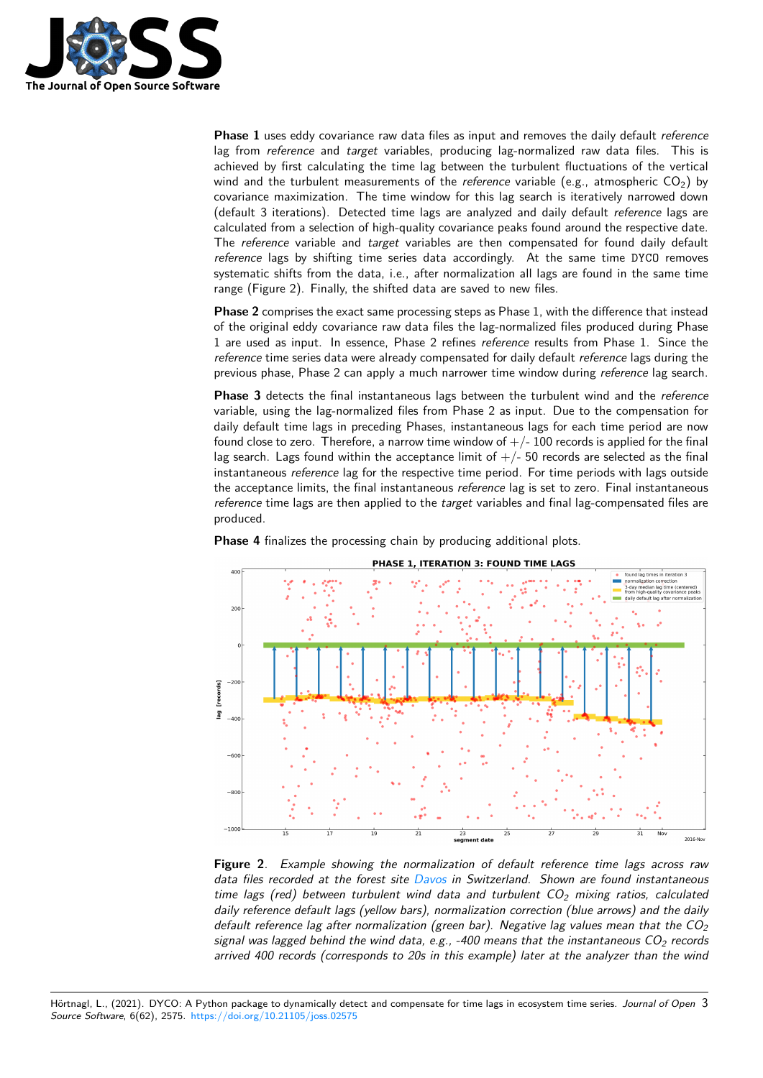

**Phase 1** uses eddy covariance raw data files as input and removes the daily default *reference* lag from *reference* and *target* variables, producing lag-normalized raw data files. This is achieved by first calculating the time lag between the turbulent fluctuations of the vertical wind and the turbulent measurements of the *reference* variable (e.g., atmospheric CO<sub>2</sub>) by covariance maximization. The time window for this lag search is iteratively narrowed down (default 3 iterations). Detected time lags are analyzed and daily default *reference* lags are calculated from a selection of high-quality covariance peaks found around the respective date. The *reference* variable and *target* variables are then compensated for found daily default *reference* lags by shifting time series data accordingly. At the same time DYCO removes systematic shifts from the data, i.e., after normalization all lags are found in the same time range (Figure 2). Finally, the shifted data are saved to new files.

**Phase 2** comprises the exact same processing steps as Phase 1, with the difference that instead of the original eddy covariance raw data files the lag-normalized files produced during Phase 1 are used as input. In essence, Phase 2 refines *reference* results from Phase 1. Since the *reference* time series data were already compensated for daily default *reference* lags during the previous phase, Phase 2 can apply a much narrower time window during *reference* lag search.

**Phase 3** detects the final instantaneous lags between the turbulent wind and the *reference* variable, using the lag-normalized files from Phase 2 as input. Due to the compensation for daily default time lags in preceding Phases, instantaneous lags for each time period are now found close to zero. Therefore, a narrow time window of  $+/-100$  records is applied for the final lag search. Lags found within the acceptance limit of  $+/-$  50 records are selected as the final instantaneous *reference* lag for the respective time period. For time periods with lags outside the acceptance limits, the final instantaneous *reference* lag is set to zero. Final instantaneous *reference* time lags are then applied to the *target* variables and final lag-compensated files are produced.



**Phase 4** finalizes the processing chain by producing additional plots.

**Figure 2**. *Example showing the normalization of default reference time lags across raw data files recorded at the forest site [Davos](https://www.swissfluxnet.ethz.ch/index.php/sites/ch-dav-davos/site-info-ch-dav/) in Switzerland. Shown are found instantaneous time lags (red) between turbulent wind data and turbulent CO<sup>2</sup> mixing ratios, calculated daily reference default lags (yellow bars), normalization correction (blue arrows) and the daily default reference lag after normalization (green bar). Negative lag values mean that the CO<sup>2</sup> signal was lagged behind the wind data, e.g., -400 means that the instantaneous CO<sup>2</sup> records arrived 400 records (corresponds to 20s in this example) later at the analyzer than the wind*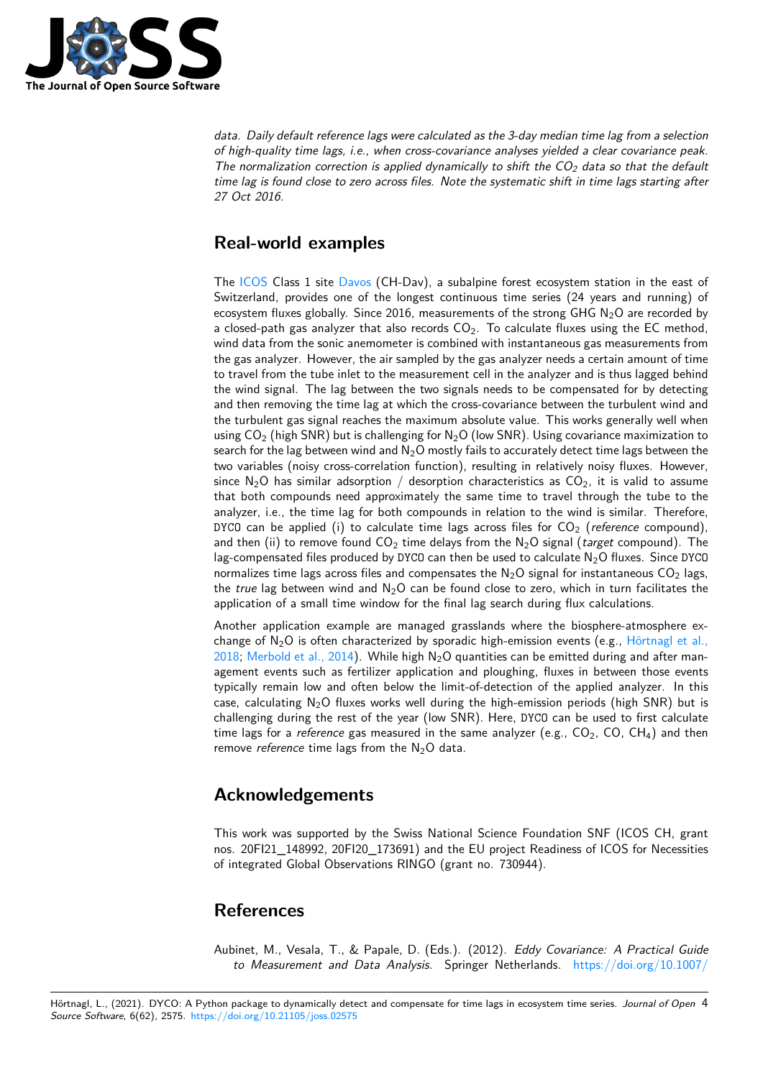

*data. Daily default reference lags were calculated as the 3-day median time lag from a selection of high-quality time lags, i.e., when cross-covariance analyses yielded a clear covariance peak. The normalization correction is applied dynamically to shift the CO<sup>2</sup> data so that the default time lag is found close to zero across files. Note the systematic shift in time lags starting after 27 Oct 2016.*

## **Real-world examples**

The [ICOS](https://www.icos-cp.eu/) Class 1 site [Davos](https://www.swissfluxnet.ethz.ch/index.php/sites/ch-dav-davos/site-info-ch-dav/) (CH-Dav), a subalpine forest ecosystem station in the east of Switzerland, provides one of the longest continuous time series (24 years and running) of ecosystem fluxes globally. Since 2016, measurements of the strong GHG  $N<sub>2</sub>O$  are recorded by a closed-path gas analyzer that also records  $CO<sub>2</sub>$ . To calculate fluxes using the EC method, wind data from the sonic anemometer is combined with instantaneous gas measurements from the gas analyzer. However, the air sampled by the gas analyzer needs a certain amount of time to travel from the tube inlet to the measurement cell in the analyzer and is thus lagged behind the wind signal. The lag between the two signals needs to be compensated for by detecting and then removing the time lag at which the cross-covariance between the turbulent wind and the turbulent gas signal reaches the maximum absolute value. This works generally well when using  $CO<sub>2</sub>$  (high SNR) but is challenging for N<sub>2</sub>O (low SNR). Using covariance maximization to search for the lag between wind and  $N_2O$  mostly fails to accurately detect time lags between the two variables (noisy cross-correlation function), resulting in relatively noisy fluxes. However, since N<sub>2</sub>O has similar adsorption / desorption characteristics as  $CO<sub>2</sub>$ , it is valid to assume that both compounds need approximately the same time to travel through the tube to the analyzer, i.e., the time lag for both compounds in relation to the wind is similar. Therefore, DYCO can be applied (i) to calculate time lags across files for  $CO<sub>2</sub>$  (*reference* compound), and then (ii) to remove found  $CO<sub>2</sub>$  time delays from the  $N<sub>2</sub>O$  signal (*target* compound). The lag-compensated files produced by DYCO can then be used to calculate  $N_2O$  fluxes. Since DYCO normalizes time lags across files and compensates the  $N_2O$  signal for instantaneous  $CO_2$  lags, the *true* lag between wind and N<sub>2</sub>O can be found close to zero, which in turn facilitates the application of a small time window for the final lag search during flux calculations.

Another application example are managed grasslands where the biosphere-atmosphere exchange of  $N_2O$  is often characterized by sporadic high-emission events (e.g., [Hörtnagl et al.,](#page-5-5) [2018;](#page-5-5) [Merbold et al., 2014](#page-5-6)). While high  $N_2O$  quantities can be emitted during and after management events such as fertilizer application and ploughing, fluxes in between those events typically remain low and often below the limit-of-detection of the applied analyzer. In this case, calculating  $N_2O$  fluxes works well during the high-emission periods (high SNR) but is challenging during the rest of the year (low SNR). Here, DYCO can be used to first calculate time lags for a *reference* gas measured in the same analyzer (e.g.,  $CO<sub>2</sub>$ ,  $CO$ ,  $CH<sub>4</sub>$ ) and then remove *reference* time lags from the N<sub>2</sub>O data.

## **Acknowledgements**

This work was supported by the Swiss National Science Foundation SNF (ICOS CH, grant nos. 20FI21\_148992, 20FI20\_173691) and the EU project Readiness of ICOS for Necessities of integrated Global Observations RINGO (grant no. 730944).

## **References**

<span id="page-4-0"></span>Aubinet, M., Vesala, T., & Papale, D. (Eds.). (2012). *Eddy Covariance: A Practical Guide to Measurement and Data Analysis*. Springer Netherlands. [https://doi.org/10.1007/](https://doi.org/10.1007/978-94-007-2351-1)